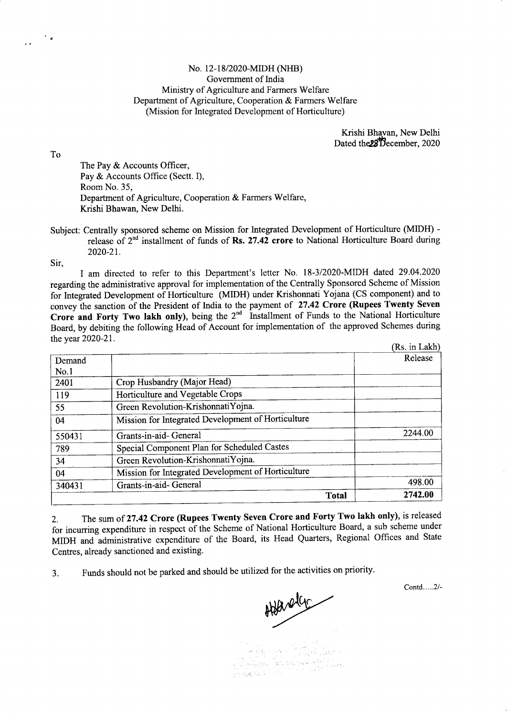## No. 12-18/2020-MIDH (NHB) Government of India Ministry of Agriculture and Farmers Welfare Department of Agriculture, Cooperation & Farmers Welfare (Mission for Integrated Development of Horticulture)

Krishi Bhavan. New Delhi Dated the 28 December, 2020

To

The Pay & Accounts Officer, Pay & Accounts Office (Sectt. I), Room No. 35, Department of Agriculture, Cooperation & Farmers Welfare, Krishi Bhawan, New Delhi.

Subject: Centrally sponsored scheme on Mission for lntegrated Development of Horticulture (MIDH) release of  $2<sup>nd</sup>$  installment of funds of Rs. 27.42 crore to National Horticulture Board during 2020-21.

Sir,

I am directed to refer to this Department's letter No. I8-3/2020-MIDH dated 29.04.2020 regarding the administrative approval for implementation of the Centrally Sponsored Scheme of Mission for Integrated Development of Horticulture (MIDH) under Krishonnati Yojana (CS component) and to convey the sanction of the President of India to the payment of 27.42 Crore (Rupees Twenty Seven Crore and Forty Two lakh only), being the  $2<sup>nd</sup>$  Installment of Funds to the National Horticulture Board, by debiting the following Head of Account for implementation of the approved Schemes during the year 2020-21

|        | <b>Total</b>                                       | 2742.00       |
|--------|----------------------------------------------------|---------------|
| 340431 | Grants-in-aid- General                             | 498.00        |
| 04     | Mission for Integrated Development of Horticulture |               |
| 34     | Green Revolution-KrishonnatiYojna.                 |               |
| 789    | Special Component Plan for Scheduled Castes        |               |
| 550431 | Grants-in-aid-General                              | 2244.00       |
| 04     | Mission for Integrated Development of Horticulture |               |
| 55     | Green Revolution-KrishonnatiYojna.                 |               |
| 119    | Horticulture and Vegetable Crops                   |               |
| 2401   | Crop Husbandry (Major Head)                        |               |
| No.1   |                                                    |               |
| Demand |                                                    | Release       |
|        |                                                    | (Rs. in Lakh) |

2. The sum of 27.42 Crore (Rupees Twenty Seven Crore and Forty Two lakh only), is released for incurring expenditure in respect of the Scheme of National Horticulture Board, a sub scheme under MIDH and administrative cxpenditure of the Board, its Head Quarters, Regional Offices and State Centres, already sanctioned and existing.

3. Funds should not be parked and should be utilized for the activities on priority.

Contd.....2l-

Adarden  $\left[\overline{p_{k}}\right]_{k\in\mathbb{N}}$  ,  $\left[\overline{p_{k}}\right]_{k\in\mathbb{N}}$  ,  $\left[\overline{p_{k}}\right]_{k\in\mathbb{N}}$  ,  $\left[\overline{p_{k}}\right]_{k\in\mathbb{N}}$ alin Madeir Araga, 1840.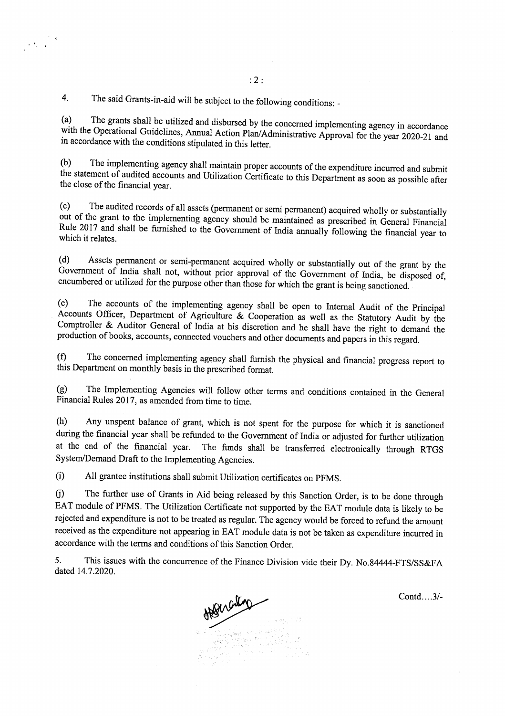4. The said Grants-in-aid will be subject to the following conditions: -

 $\mathcal{F}(\mathcal{F}_k)$  ,  $\mathcal{F}_k$ 

(a) The grants shall be utilized and disbursed by the concerned implementing agency in accordance with the Operational Guidelines, Annual Action Plan/Administrative Approval for the year 2020-21 and in accordance with the

(b) The implementing agency shall maintain proper accounts of the expenditure incurred and submit the statement of audited accounts and Utilization Certificate to this Department as soon as possible after the close of the

(c) The audited records of all assets (permanent or semi permanent) acquired wholly or substantially out of the grant to the implementing agency should be maintained as prescribed in General Financial Rule 2017 and shall b

(d) Assets permanent or semi-permanent acquired wholly or substantially out of the grant by the Government of India shall not, without prior approval of the Government of India, be disposed of, encumbered or utilized for t

(e) The accounts of the implementing agency shall be open to Internal Audit of the Principal Accounts Officer, Department of Agriculture & Cooperation as well as the Statutory Audit by the Comptroller & Auditor General of India at his discretion and he shall have the right to demand the production of books, accounts, connected vouchers and other documents and papers in this regard.

(0 The concerned implementing agency thall furnish the physical and financial progress report to this Department on monthly basis in the prescribed format.

(g) The Implementing Agencies will follow other terms and conditions containcd in the Gcneral Financial Rules 20I7, as amended from time to time.

(h) Any unspent balance of grant, which is not spent for the purpose for which it is sanctioned during the financial ycar shall be refunded to the Government of India or adjusted for further utilization at the end of the financial year. The funds shall be transferred electronically through RTGS System/Demand Draft to the Implementing Agcncies.

(i) All grantee institutions shall submit Utilization certificates on PFMS.

0) The further use of Grants in Aid being released by this Sanction Order, is to bc done through EAT module of PFMS. The Utilization Certificate not supported by the EAT module data is likely to be rejected and expenditure is not to be treated as regular. The agency would be forced to refund the amount received as the expenditure not appcaring in EA't module data is not bc taken as expenditure incurred in accordance with the terms and conditions of this Sanction Ordcr.

5. This issues with the concurrence of the Finance Division vide their Dy. No.84444-FTS/SS&FA dated 14.7.2020.



Contd....3/-